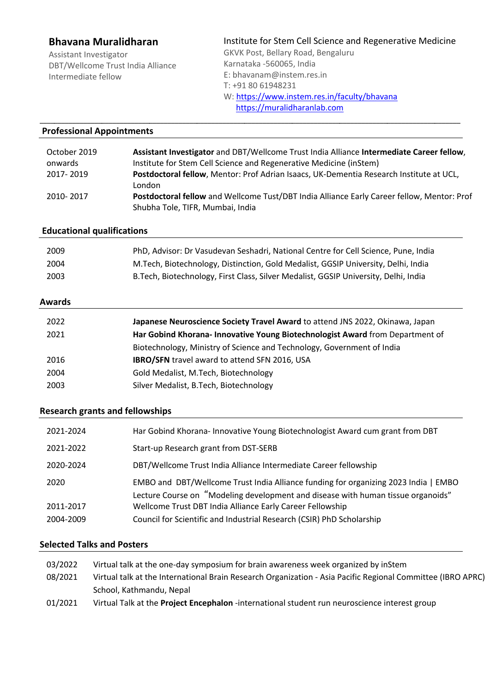# **Bhavana Muralidharan**

Assistant Investigator DBT/Wellcome Trust India Alliance Intermediate fellow

Institute for Stem Cell Science and Regenerative Medicine GKVK Post, Bellary Road, Bengaluru Karnataka -560065, India E: bhavanam@instem.res.in T: +91 80 61948231 W: https://www.instem.res.in/faculty/bhavana

 https://muralidharanlab.com \_\_\_\_\_\_\_\_\_\_\_\_\_\_\_\_\_\_\_\_\_\_\_\_\_\_\_\_\_\_\_\_\_\_\_\_\_\_\_\_\_\_\_\_\_\_\_\_\_\_\_\_\_\_\_\_\_\_\_\_\_\_\_\_\_\_\_\_\_\_\_\_\_\_\_\_\_\_\_\_\_\_\_\_\_\_\_\_\_\_\_\_\_\_\_\_\_\_\_\_\_\_\_\_\_\_\_\_\_\_\_\_\_\_\_

#### **Professional Appointments**

| October 2019 | Assistant Investigator and DBT/Wellcome Trust India Alliance Intermediate Career fellow,   |
|--------------|--------------------------------------------------------------------------------------------|
| onwards      | Institute for Stem Cell Science and Regenerative Medicine (inStem)                         |
| 2017-2019    | Postdoctoral fellow, Mentor: Prof Adrian Isaacs, UK-Dementia Research Institute at UCL,    |
|              | London                                                                                     |
| 2010-2017    | Postdoctoral fellow and Wellcome Tust/DBT India Alliance Early Career fellow, Mentor: Prof |
|              | Shubha Tole, TIFR, Mumbai, India                                                           |

#### **Educational qualifications**

| 2009 | PhD, Advisor: Dr Vasudevan Seshadri, National Centre for Cell Science, Pune, India   |
|------|--------------------------------------------------------------------------------------|
| 2004 | M. Tech, Biotechnology, Distinction, Gold Medalist, GGSIP University, Delhi, India   |
| 2003 | B. Tech, Biotechnology, First Class, Silver Medalist, GGSIP University, Delhi, India |

## **Awards**

| 2022 | Japanese Neuroscience Society Travel Award to attend JNS 2022, Okinawa, Japan |
|------|-------------------------------------------------------------------------------|
| 2021 | Har Gobind Khorana- Innovative Young Biotechnologist Award from Department of |
|      | Biotechnology, Ministry of Science and Technology, Government of India        |
| 2016 | <b>IBRO/SFN</b> travel award to attend SFN 2016, USA                          |
| 2004 | Gold Medalist, M.Tech, Biotechnology                                          |
| 2003 | Silver Medalist, B.Tech, Biotechnology                                        |

#### **Research grants and fellowships**

| 2021-2024 | Har Gobind Khorana-Innovative Young Biotechnologist Award cum grant from DBT                                                                                            |
|-----------|-------------------------------------------------------------------------------------------------------------------------------------------------------------------------|
| 2021-2022 | Start-up Research grant from DST-SERB                                                                                                                                   |
| 2020-2024 | DBT/Wellcome Trust India Alliance Intermediate Career fellowship                                                                                                        |
| 2020      | EMBO and DBT/Wellcome Trust India Alliance funding for organizing 2023 India   EMBO<br>Lecture Course on "Modeling development and disease with human tissue organoids" |
| 2011-2017 | Wellcome Trust DBT India Alliance Early Career Fellowship                                                                                                               |
| 2004-2009 | Council for Scientific and Industrial Research (CSIR) PhD Scholarship                                                                                                   |

## **Selected Talks and Posters**

| 03/2022 | Virtual talk at the one-day symposium for brain awareness week organized by inStem                          |
|---------|-------------------------------------------------------------------------------------------------------------|
| 08/2021 | Virtual talk at the International Brain Research Organization - Asia Pacific Regional Committee (IBRO APRC) |
|         | School, Kathmandu, Nepal                                                                                    |
| 01/2021 | Virtual Talk at the <b>Project Encephalon</b> -international student run neuroscience interest group        |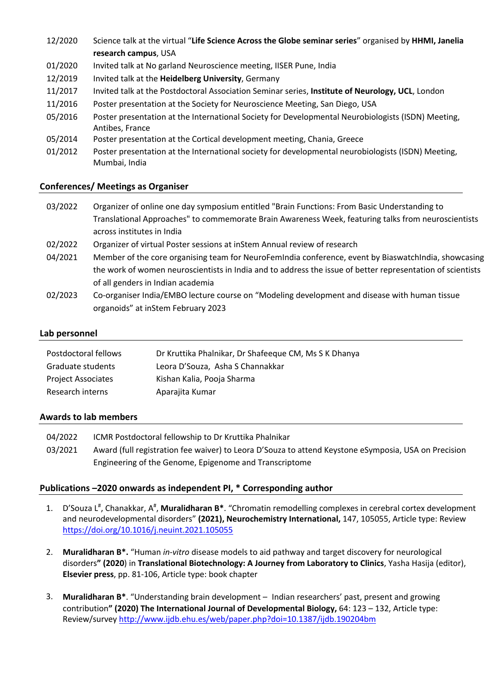- 12/2020 Science talk at the virtual "**Life Science Across the Globe seminar series**" organised by **HHMI, Janelia research campus**, USA
- 01/2020 Invited talk at No garland Neuroscience meeting, IISER Pune, India
- 12/2019 Invited talk at the **Heidelberg University**, Germany
- 11/2017 Invited talk at the Postdoctoral Association Seminar series, **Institute of Neurology, UCL**, London
- 11/2016 Poster presentation at the Society for Neuroscience Meeting, San Diego, USA
- 05/2016 Poster presentation at the International Society for Developmental Neurobiologists (ISDN) Meeting, Antibes, France
- 05/2014 Poster presentation at the Cortical development meeting, Chania, Greece
- 01/2012 Poster presentation at the International society for developmental neurobiologists (ISDN) Meeting, Mumbai, India

# **Conferences/ Meetings as Organiser**

- 03/2022 Organizer of online one day symposium entitled "Brain Functions: From Basic Understanding to Translational Approaches" to commemorate Brain Awareness Week, featuring talks from neuroscientists across institutes in India 02/2022 Organizer of virtual Poster sessions at inStem Annual review of research 04/2021 Member of the core organising team for NeuroFemIndia conference, event by BiaswatchIndia, showcasing the work of women neuroscientists in India and to address the issue of better representation of scientists of all genders in Indian academia
- 02/2023 Co-organiser India/EMBO lecture course on "Modeling development and disease with human tissue organoids" at inStem February 2023

# **Lab personnel**

| Postdoctoral fellows      | Dr Kruttika Phalnikar, Dr Shafeeque CM, Ms S K Dhanya |
|---------------------------|-------------------------------------------------------|
| Graduate students         | Leora D'Souza, Asha S Channakkar                      |
| <b>Project Associates</b> | Kishan Kalia, Pooja Sharma                            |
| Research interns          | Aparajita Kumar                                       |

## **Awards to lab members**

04/2022 ICMR Postdoctoral fellowship to Dr Kruttika Phalnikar 03/2021 Award (full registration fee waiver) to Leora D'Souza to attend Keystone eSymposia, USA on Precision Engineering of the Genome, Epigenome and Transcriptome

## **Publications –2020 onwards as independent PI, \* Corresponding author**

- 1. D'Souza L<sup>#</sup>, Chanakkar, A<sup>#</sup>, Muralidharan B\*. "Chromatin remodelling complexes in cerebral cortex development and neurodevelopmental disorders" **(2021), Neurochemistry International,** 147, 105055, Article type: Review https://doi.org/10.1016/j.neuint.2021.105055
- 2. **Muralidharan B\*.** "Human *in-vitro* disease models to aid pathway and target discovery for neurological disorders**" (2020**) in **Translational Biotechnology: A Journey from Laboratory to Clinics**, Yasha Hasija (editor), **Elsevier press**, pp. 81-106, Article type: book chapter
- 3. **Muralidharan B\***. "Understanding brain development Indian researchers' past, present and growing contribution**" (2020) The International Journal of Developmental Biology,** 64: 123 – 132, Article type: Review/survey http://www.ijdb.ehu.es/web/paper.php?doi=10.1387/ijdb.190204bm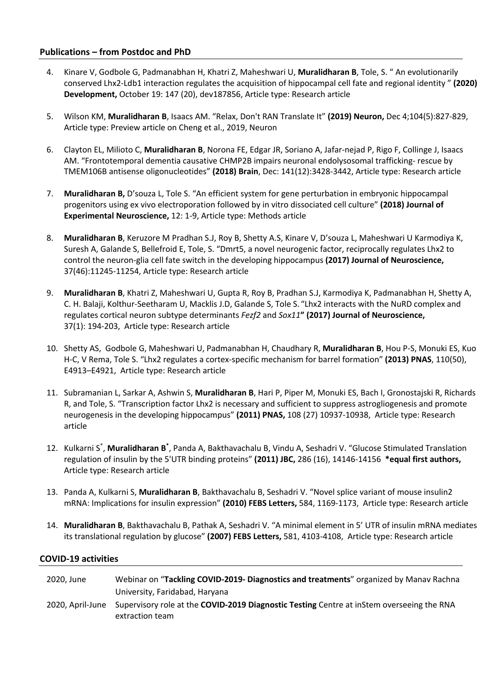## **Publications – from Postdoc and PhD**

- 4. Kinare V, Godbole G, Padmanabhan H, Khatri Z, Maheshwari U, **Muralidharan B**, Tole, S. " An evolutionarily conserved Lhx2-Ldb1 interaction regulates the acquisition of hippocampal cell fate and regional identity " **(2020) Development,** October 19: 147 (20), dev187856, Article type: Research article
- 5. Wilson KM, **Muralidharan B**, Isaacs AM. "Relax, Don't RAN Translate It" **(2019) Neuron,** Dec 4;104(5):827-829, Article type: Preview article on Cheng et al., 2019, Neuron
- 6. Clayton EL, Milioto C, **Muralidharan B**, Norona FE, Edgar JR, Soriano A, Jafar-nejad P, Rigo F, Collinge J, Isaacs AM. "Frontotemporal dementia causative CHMP2B impairs neuronal endolysosomal trafficking- rescue by TMEM106B antisense oligonucleotides" **(2018) Brain**, Dec: 141(12):3428-3442, Article type: Research article
- 7. **Muralidharan B,** D'souza L, Tole S. "An efficient system for gene perturbation in embryonic hippocampal progenitors using ex vivo electroporation followed by in vitro dissociated cell culture" **(2018) Journal of Experimental Neuroscience,** 12: 1-9, Article type: Methods article
- 8. **Muralidharan B**, Keruzore M Pradhan S.J, Roy B, Shetty A.S, Kinare V, D'souza L, Maheshwari U Karmodiya K, Suresh A, Galande S, Bellefroid E, Tole, S. "Dmrt5, a novel neurogenic factor, reciprocally regulates Lhx2 to control the neuron-glia cell fate switch in the developing hippocampus **(2017) Journal of Neuroscience,**  37(46):11245-11254, Article type: Research article
- 9. **Muralidharan B**, Khatri Z, Maheshwari U, Gupta R, Roy B, Pradhan S.J, Karmodiya K, Padmanabhan H, Shetty A, C. H. Balaji, Kolthur-Seetharam U, Macklis J.D, Galande S, Tole S. "Lhx2 interacts with the NuRD complex and regulates cortical neuron subtype determinants *Fezf2* and *Sox11***" (2017) Journal of Neuroscience,**  37(1): 194-203, Article type: Research article
- 10. Shetty AS, Godbole G, Maheshwari U, Padmanabhan H, Chaudhary R, **Muralidharan B**, Hou P-S, Monuki ES, Kuo H-C, V Rema, Tole S. "Lhx2 regulates a cortex-specific mechanism for barrel formation" **(2013) PNAS**, 110(50), E4913–E4921, Article type: Research article
- 11. Subramanian L, Sarkar A, Ashwin S, **Muralidharan B**, Hari P, Piper M, Monuki ES, Bach I, Gronostajski R, Richards R, and Tole, S. "Transcription factor Lhx2 is necessary and sufficient to suppress astrogliogenesis and promote neurogenesis in the developing hippocampus" **(2011) PNAS,** 108 (27) 10937-10938, Article type: Research article
- 12. Kulkarni S<sup>\*</sup>, Muralidharan B<sup>\*</sup>, Panda A, Bakthavachalu B, Vindu A, Seshadri V. "Glucose Stimulated Translation regulation of insulin by the 5'UTR binding proteins" **(2011) JBC,** 286 (16), 14146-14156 **\*equal first authors,**  Article type: Research article
- 13. Panda A, Kulkarni S, **Muralidharan B**, Bakthavachalu B, Seshadri V. "Novel splice variant of mouse insulin2 mRNA: Implications for insulin expression" **(2010) FEBS Letters,** 584, 1169-1173, Article type: Research article
- 14. **Muralidharan B**, Bakthavachalu B, Pathak A, Seshadri V. "A minimal element in 5' UTR of insulin mRNA mediates its translational regulation by glucose" **(2007) FEBS Letters,** 581, 4103-4108, Article type: Research article

#### **COVID-19 activities**

| 2020. June       | Webinar on "Tackling COVID-2019- Diagnostics and treatments" organized by Manav Rachna                       |
|------------------|--------------------------------------------------------------------------------------------------------------|
|                  | University, Faridabad, Haryana                                                                               |
| 2020. April-June | Supervisory role at the COVID-2019 Diagnostic Testing Centre at inStem overseeing the RNA<br>extraction team |